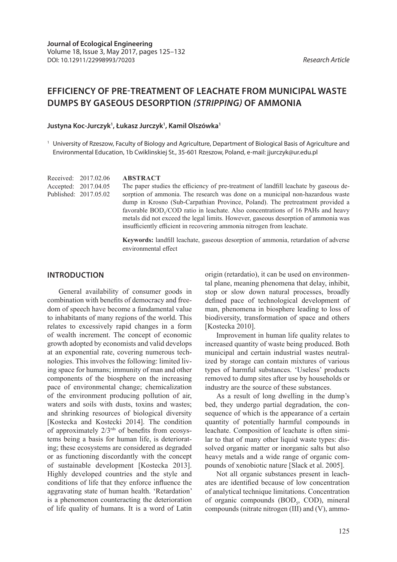# **EFFICIENCY OF PRE-TREATMENT OF LEACHATE FROM MUNICIPAL WASTE DUMPS BY GASEOUS DESORPTION** *(STRIPPING)* **OF AMMONIA**

### **Justyna Koc-Jurczyk1 , Łukasz Jurczyk1 , Kamil Olszówka1**

<sup>1</sup> University of Rzeszow, Faculty of Biology and Agriculture, Department of Biological Basis of Agriculture and Environmental Education, 1b Cwiklinskiej St., 35-601 Rzeszow, Poland, e-mail: jjurczyk@ur.edu.pl

Received: 2017.02.06 Accepted: 2017.04.05 Published: 2017.05.02

#### **ABSTRACT**

The paper studies the efficiency of pre-treatment of landfill leachate by gaseous desorption of ammonia. The research was done on a municipal non-hazardous waste dump in Krosno (Sub-Carpathian Province, Poland). The pretreatment provided a favorable  $BOD<sub>5</sub>/COD$  ratio in leachate. Also concentrations of 16 PAHs and heavy metals did not exceed the legal limits. However, gaseous desorption of ammonia was insufficiently efficient in recovering ammonia nitrogen from leachate.

**Keywords:** landfill leachate, gaseous desorption of ammonia, retardation of adverse environmental effect

### **INTRODUCTION**

General availability of consumer goods in combination with benefits of democracy and freedom of speech have become a fundamental value to inhabitants of many regions of the world. This relates to excessively rapid changes in a form of wealth increment. The concept of economic growth adopted by economists and valid develops at an exponential rate, covering numerous technologies. This involves the following: limited living space for humans; immunity of man and other components of the biosphere on the increasing pace of environmental change; chemicalization of the environment producing pollution of air, waters and soils with dusts, toxins and wastes; and shrinking resources of biological diversity [Kostecka and Kostecki 2014]. The condition of approximately  $2/3^{rds}$  of benefits from ecosystems being a basis for human life, is deteriorating; these ecosystems are considered as degraded or as functioning discordantly with the concept of sustainable development [Kostecka 2013]. Highly developed countries and the style and conditions of life that they enforce influence the aggravating state of human health. 'Retardation' is a phenomenon counteracting the deterioration of life quality of humans. It is a word of Latin

origin (retardatio), it can be used on environmental plane, meaning phenomena that delay, inhibit, stop or slow down natural processes, broadly defined pace of technological development of man, phenomena in biosphere leading to loss of biodiversity, transformation of space and others [Kostecka 2010].

Improvement in human life quality relates to increased quantity of waste being produced. Both municipal and certain industrial wastes neutralized by storage can contain mixtures of various types of harmful substances. 'Useless' products removed to dump sites after use by households or industry are the source of these substances.

As a result of long dwelling in the dump's bed, they undergo partial degradation, the consequence of which is the appearance of a certain quantity of potentially harmful compounds in leachate. Composition of leachate is often similar to that of many other liquid waste types: dissolved organic matter or inorganic salts but also heavy metals and a wide range of organic compounds of xenobiotic nature [Slack et al. 2005].

Not all organic substances present in leachates are identified because of low concentration of analytical technique limitations. Concentration of organic compounds (BOD<sub>5</sub>, COD), mineral compounds (nitrate nitrogen  $(III)$  and  $(V)$ , ammo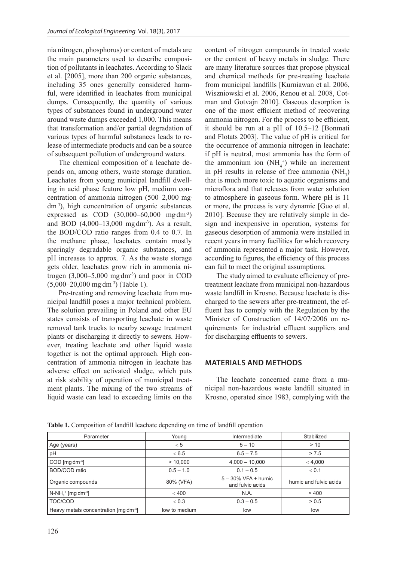nia nitrogen, phosphorus) or content of metals are the main parameters used to describe composition of pollutants in leachates. According to Slack et al. [2005], more than 200 organic substances, including 35 ones generally considered harmful, were identified in leachates from municipal dumps. Consequently, the quantity of various types of substances found in underground water around waste dumps exceeded 1,000. This means that transformation and/or partial degradation of various types of harmful substances leads to release of intermediate products and can be a source of subsequent pollution of underground waters.

The chemical composition of a leachate depends on, among others, waste storage duration. Leachates from young municipal landfill dwelling in acid phase feature low pH, medium concentration of ammonia nitrogen (500–2,000 mg. dm-3), high concentration of organic substances expressed as COD  $(30,000 - 60,000 \text{ mg dm}^{-3})$ and BOD  $(4,000-13,000 \text{ mg dm}^{-3})$ . As a result, the BOD/COD ratio ranges from 0.4 to 0.7. In the methane phase, leachates contain mostly sparingly degradable organic substances, and pH increases to approx. 7. As the waste storage gets older, leachates grow rich in ammonia nitrogen  $(3,000-5,000 \text{ mg dm}^3)$  and poor in COD  $(5,000-20,000 \text{ mg dm}^{-3})$  (Table 1).

Pre-treating and removing leachate from municipal landfill poses a major technical problem. The solution prevailing in Poland and other EU states consists of transporting leachate in waste removal tank trucks to nearby sewage treatment plants or discharging it directly to sewers. However, treating leachate and other liquid waste together is not the optimal approach. High concentration of ammonia nitrogen in leachate has adverse effect on activated sludge, which puts at risk stability of operation of municipal treatment plants. The mixing of the two streams of liquid waste can lead to exceeding limits on the

content of nitrogen compounds in treated waste or the content of heavy metals in sludge. There are many literature sources that propose physical and chemical methods for pre-treating leachate from municipal landfills [Kurniawan et al. 2006, Wiszniowski et al. 2006, Renou et al. 2008, Cotman and Gotvajn 2010]. Gaseous desorption is one of the most efficient method of recovering ammonia nitrogen. For the process to be efficient, it should be run at a pH of 10.5–12 [Bonmati and Flotats 2003]. The value of pH is critical for the occurrence of ammonia nitrogen in leachate: if pH is neutral, most ammonia has the form of the ammonium ion  $(NH_4^+)$  while an increment in pH results in release of free ammonia  $(NH_3)$ that is much more toxic to aquatic organisms and microflora and that releases from water solution to atmosphere in gaseous form. Where pH is 11 or more, the process is very dynamic [Guo et al. 2010]. Because they are relatively simple in design and inexpensive in operation, systems for gaseous desorption of ammonia were installed in recent years in many facilities for which recovery of ammonia represented a major task. However, according to figures, the efficiency of this process can fail to meet the original assumptions.

The study aimed to evaluate efficiency of pretreatment leachate from municipal non-hazardous waste landfill in Krosno. Because leachate is discharged to the sewers after pre-treatment, the effluent has to comply with the Regulation by the Minister of Construction of 14/07/2006 on requirements for industrial effluent suppliers and for discharging effluents to sewers.

## **MATERIALS AND METHODS**

The leachate concerned came from a municipal non-hazardous waste landfill situated in Krosno, operated since 1983, complying with the

| Parameter                                            | Young         | Intermediate                               | Stabilized             |  |
|------------------------------------------------------|---------------|--------------------------------------------|------------------------|--|
| Age (years)                                          | < 5           | $5 - 10$                                   | > 10                   |  |
| pH                                                   | < 6.5         | $6.5 - 7.5$                                | > 7.5                  |  |
| $COD$ [mg dm <sup>-3</sup> ]                         | > 10,000      | $4,000 - 10,000$                           | < 4,000                |  |
| BOD/COD ratio                                        | $0.5 - 1.0$   | $0.1 - 0.5$                                | < 0.1                  |  |
| Organic compounds                                    | 80% (VFA)     | $5 - 30\%$ VFA + humic<br>and fulvic acids | humic and fulvic acids |  |
| $N-NH_{\lambda}$ <sup>+</sup> [mg dm <sup>-3</sup> ] | < 400         | N.A.                                       | >400                   |  |
| TOC/COD                                              | < 0.3         | $0.3 - 0.5$                                | > 0.5                  |  |
| Heavy metals concentration [mg dm <sup>-3</sup> ]    | low to medium | low                                        | low                    |  |

**Table 1.** Composition of landfill leachate depending on time of landfill operation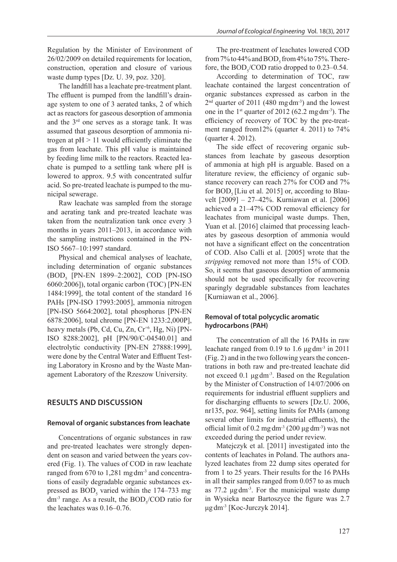Regulation by the Minister of Environment of 26/02/2009 on detailed requirements for location, construction, operation and closure of various waste dump types [Dz. U. 39, poz. 320].

The landfill has a leachate pre-treatment plant. The effluent is pumped from the landfill's drainage system to one of 3 aerated tanks, 2 of which act as reactors for gaseous desorption of ammonia and the 3rd one serves as a storage tank. It was assumed that gaseous desorption of ammonia nitrogen at  $pH > 11$  would efficiently eliminate the gas from leachate. This pH value is maintained by feeding lime milk to the reactors. Reacted leachate is pumped to a settling tank where pH is lowered to approx. 9.5 with concentrated sulfur acid. So pre-treated leachate is pumped to the municipal sewerage.

Raw leachate was sampled from the storage and aerating tank and pre-treated leachate was taken from the neutralization tank once every 3 months in years 2011–2013, in accordance with the sampling instructions contained in the PN-ISO 5667–10:1997 standard.

Physical and chemical analyses of leachate, including determination of organic substances (BOD<sub>5</sub> [PN-EN 1899–2:2002], COD [PN-ISO 6060:2006]), total organic carbon (TOC) [PN-EN 1484:1999], the total content of the standard 16 PAHs [PN-ISO 17993:2005], ammonia nitrogen [PN-ISO 5664:2002], total phosphorus [PN-EN 6878:2006], total chrome [PN-EN 1233:2,000P], heavy metals (Pb, Cd, Cu, Zn,  $Cr^{+6}$ , Hg, Ni) [PN-ISO 8288:2002], pH [PN/90/C-04540.01] and electrolytic conductivity [PN-EN 27888:1999], were done by the Central Water and Effluent Testing Laboratory in Krosno and by the Waste Management Laboratory of the Rzeszow University.

## **RESULTS AND DISCUSSION**

### **Removal of organic substances from leachate**

Concentrations of organic substances in raw and pre-treated leachates were strongly dependent on season and varied between the years covered (Fig. 1). The values of COD in raw leachate ranged from 670 to 1,281 mg dm<sup>-3</sup> and concentrations of easily degradable organic substances expressed as  $BOD<sub>5</sub>$  varied within the 174–733 mg dm<sup>-3</sup> range. As a result, the  $BOD<sub>5</sub>/COD$  ratio for the leachates was 0.16–0.76.

The pre-treatment of leachates lowered COD from 7% to 44% and  $\text{BOD}_5$  from 4% to 75%. Therefore, the  $BOD<sub>5</sub>/COD$  ratio dropped to 0.23–0.54.

According to determination of TOC, raw leachate contained the largest concentration of organic substances expressed as carbon in the  $2<sup>nd</sup>$  quarter of 2011 (480 mg $dm<sup>-3</sup>$ ) and the lowest one in the  $1<sup>st</sup>$  quarter of 2012 (62.2 mg dm<sup>-3</sup>). The efficiency of recovery of TOC by the pre-treatment ranged from12% (quarter 4. 2011) to 74% (quarter 4. 2012).

The side effect of recovering organic substances from leachate by gaseous desorption of ammonia at high pH is arguable. Based on a literature review, the efficiency of organic substance recovery can reach 27% for COD and 7% for  $BOD$ <sub>s</sub> [Liu et al. 2015] or, according to Blauvelt [2009] – 27–42%. Kurniawan et al. [2006] achieved a 21–47% COD removal efficiency for leachates from municipal waste dumps. Then, Yuan et al. [2016] claimed that processing leachates by gaseous desorption of ammonia would not have a significant effect on the concentration of COD. Also Calli et al. [2005] wrote that the *stripping* removed not more than 15% of COD. So, it seems that gaseous desorption of ammonia should not be used specifically for recovering sparingly degradable substances from leachates [Kurniawan et al., 2006].

### **Removal of total polycyclic aromatic hydrocarbons (PAH)**

The concentration of all the 16 PAHs in raw leachate ranged from  $0.19$  to  $1.6 \mu\text{g dm}^3$  in  $2011$ (Fig. 2) and in the two following years the concentrations in both raw and pre-treated leachate did not exceed  $0.1 \mu\text{g}\text{dm}^3$ . Based on the Regulation by the Minister of Construction of 14/07/2006 on requirements for industrial effluent suppliers and for discharging effluents to sewers [Dz.U. 2006, nr135, poz. 964], setting limits for PAHs (among several other limits for industrial effluents), the official limit of  $0.2 \text{ mg} \, \text{dm}^{-3}$   $(200 \, \mu \text{g} \, \text{dm}^{-3})$  was not exceeded during the period under review.

Matejczyk et al. [2011] investigated into the contents of leachates in Poland. The authors analyzed leachates from 22 dump sites operated for from 1 to 25 years. Their results for the 16 PAHs in all their samples ranged from 0.057 to as much as  $77.2 \mu g \, dm^{-3}$ . For the municipal waste dump in Wysieka near Bartoszyce the figure was 2.7 μg dm<sup>-3</sup> [Koc-Jurczyk 2014].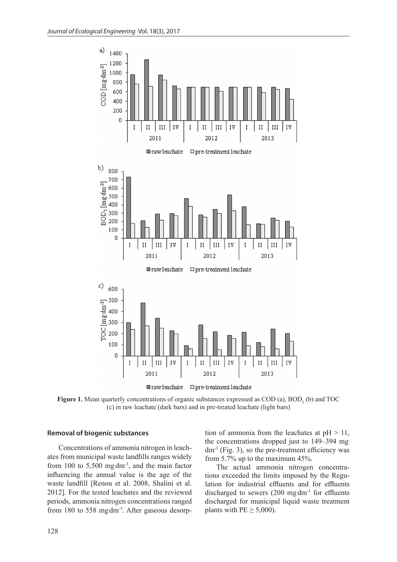

 $\blacksquare \texttt{rawleachate} \quad \blacksquare \texttt{pre-treatment} \texttt{leachate}$ 

**Figure 1.** Mean quarterly concentrations of organic substances expressed as  $\text{COD}$  (a),  $\text{BOD}_5$  (b) and  $\text{TOC}$ (c) in raw leachate (dark bars) and in pre-treated leachate (light bars)

#### **Removal of biogenic substances**

Concentrations of ammonia nitrogen in leachates from municipal waste landfills ranges widely from  $100$  to  $5,500$  mg $dm^{-3}$ , and the main factor influencing the annual value is the age of the waste landfill [Renou et al. 2008, Shalini et al. 2012]. For the tested leachates and the reviewed periods, ammonia nitrogen concentrations ranged from 180 to 558 mg dm<sup>-3</sup>. After gaseous desorption of ammonia from the leachates at  $pH > 11$ , the concentrations dropped just to 149–394 mg.  $dm<sup>-3</sup>$  (Fig. 3), so the pre-treatment efficiency was from 5.7% up to the maximum 45%.

The actual ammonia nitrogen concentrations exceeded the limits imposed by the Regulation for industrial effluents and for effluents discharged to sewers  $(200 \text{ mg dm}^3)$  for effluents discharged for municipal liquid waste treatment plants with  $PE \geq 5,000$ ).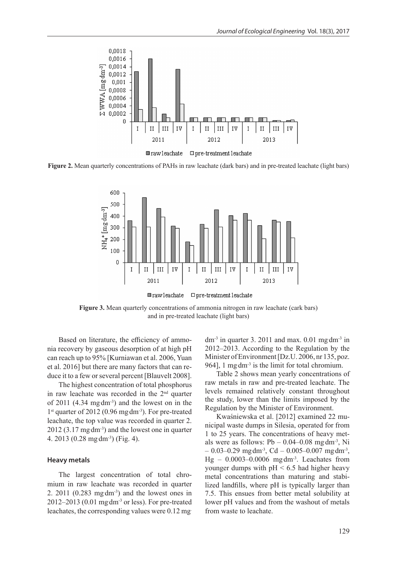

**Figure 2.** Mean quarterly concentrations of PAHs in raw leachate (dark bars) and in pre-treated leachate (light bars)



**■rawleachate** □ pre-treatment leachate

**Figure 3.** Mean quarterly concentrations of ammonia nitrogen in raw leachate (cark bars) and in pre-treated leachate (light bars)

Based on literature, the efficiency of ammonia recovery by gaseous desorption of at high pH can reach up to 95% [Kurniawan et al. 2006, Yuan et al. 2016] but there are many factors that can reduce it to a few or several percent [Blauvelt 2008].

The highest concentration of total phosphorus in raw leachate was recorded in the 2nd quarter of  $2011$  (4.34 mg dm<sup>-3</sup>) and the lowest on in the 1<sup>st</sup> quarter of 2012 (0.96 mg dm<sup>-3</sup>). For pre-treated leachate, the top value was recorded in quarter 2.  $2012$  (3.17 mg dm<sup>-3</sup>) and the lowest one in quarter 4. 2013 (0.28 mg·dm<sup>-3</sup>) (Fig. 4).

#### **Heavy metals**

The largest concentration of total chromium in raw leachate was recorded in quarter 2.  $2011$  (0.283 mg dm<sup>-3</sup>) and the lowest ones in  $2012-2013$  (0.01 mg dm<sup>-3</sup> or less). For pre-treated leachates, the corresponding values were 0.12 mg.

 $dm^{-3}$  in quarter 3. 2011 and max. 0.01 mg dm<sup>-3</sup> in 2012–2013. According to the Regulation by the Minister of Environment [Dz.U. 2006, nr 135, poz. 964], 1 mg dm<sup>-3</sup> is the limit for total chromium.

Table 2 shows mean yearly concentrations of raw metals in raw and pre-treated leachate. The levels remained relatively constant throughout the study, lower than the limits imposed by the Regulation by the Minister of Environment.

Kwaśniewska et al. [2012] examined 22 municipal waste dumps in Silesia, operated for from 1 to 25 years. The concentrations of heavy metals were as follows:  $Pb - 0.04 - 0.08$  mg $dm^{-3}$ , Ni  $-0.03 - 0.29$  mg dm<sup>-3</sup>, Cd  $-0.005 - 0.007$  mg dm<sup>-3</sup>,  $Hg - 0.0003 - 0.0006$  mg dm<sup>-3</sup>. Leachates from younger dumps with  $pH < 6.5$  had higher heavy metal concentrations than maturing and stabilized landfills, where pH is typically larger than 7.5. This ensues from better metal solubility at lower pH values and from the washout of metals from waste to leachate.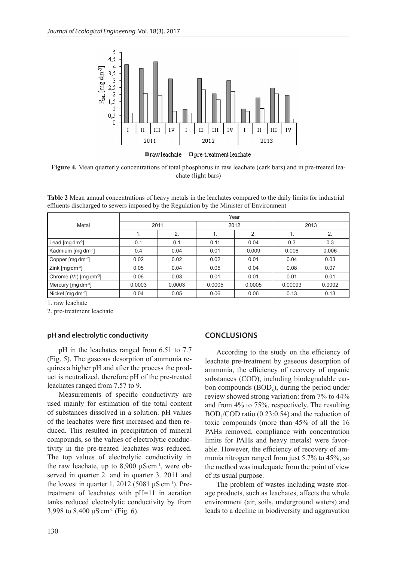

**Figure 4.** Mean quarterly concentrations of total phosphorus in raw leachate (cark bars) and in pre-treated leachate (light bars)

**Table 2** Mean annual concentrations of heavy metals in the leachates compared to the daily limits for industrial effluents discharged to sewers imposed by the Regulation by the Minister of Environment

|                                       | Year   |        |        |        |         |        |  |
|---------------------------------------|--------|--------|--------|--------|---------|--------|--|
| Metal                                 | 2011   |        | 2012   |        | 2013    |        |  |
|                                       | 1.     | 2.     | 1.     | 2.     | 1.      | 2.     |  |
| Lead $\lceil \text{mg dm}^3 \rceil$   | 0.1    | 0.1    | 0.11   | 0.04   | 0.3     | 0.3    |  |
| Kadmium [mg dm <sup>-3</sup> ]        | 0.4    | 0.04   | 0.01   | 0.009  | 0.006   | 0.006  |  |
| Copper $\lceil \text{mg dm}^3 \rceil$ | 0.02   | 0.02   | 0.02   | 0.01   | 0.04    | 0.03   |  |
| $Zink$ [mg dm <sup>-3</sup> ]         | 0.05   | 0.04   | 0.05   | 0.04   | 0.08    | 0.07   |  |
| Chrome (VI) [mg dm <sup>-3</sup> ]    | 0.06   | 0.03   | 0.01   | 0.01   | 0.01    | 0.01   |  |
| Mercury [mg dm <sup>-3</sup> ]        | 0.0003 | 0.0003 | 0.0005 | 0.0005 | 0.00093 | 0.0002 |  |
| Nickel [mg dm <sup>-3</sup> ]         | 0.04   | 0.05   | 0.06   | 0.06   | 0.13    | 0.13   |  |

1. raw leachate

2. pre-treatment leachate

#### **pH and electrolytic conductivity**

pH in the leachates ranged from 6.51 to 7.7 (Fig. 5). The gaseous desorption of ammonia requires a higher pH and after the process the product is neutralized, therefore pH of the pre-treated leachates ranged from 7.57 to 9.

Measurements of specific conductivity are used mainly for estimation of the total content of substances dissolved in a solution. pH values of the leachates were first increased and then reduced. This resulted in precipitation of mineral compounds, so the values of electrolytic conductivity in the pre-treated leachates was reduced. The top values of electrolytic conductivity in the raw leachate, up to  $8,900 \mu S$  cm<sup>-1</sup>, were observed in quarter 2. and in quarter 3. 2011 and the lowest in quarter 1. 2012 (5081  $\mu$ S cm<sup>-1</sup>). Pretreatment of leachates with pH=11 in aeration tanks reduced electrolytic conductivity by from 3,998 to 8,400  $\mu$ S cm<sup>-1</sup> (Fig. 6).

#### **CONCLUSIONS**

According to the study on the efficiency of leachate pre-treatment by gaseous desorption of ammonia, the efficiency of recovery of organic substances (COD), including biodegradable carbon compounds  $(BOD<sub>5</sub>)$ , during the period under review showed strong variation: from 7% to 44% and from 4% to 75%, respectively. The resulting  $BOD<sub>5</sub>/COD$  ratio (0.23:0.54) and the reduction of toxic compounds (more than 45% of all the 16 PAHs removed, compliance with concentration limits for PAHs and heavy metals) were favorable. However, the efficiency of recovery of ammonia nitrogen ranged from just 5.7% to 45%, so the method was inadequate from the point of view of its usual purpose.

The problem of wastes including waste storage products, such as leachates, affects the whole environment (air, soils, underground waters) and leads to a decline in biodiversity and aggravation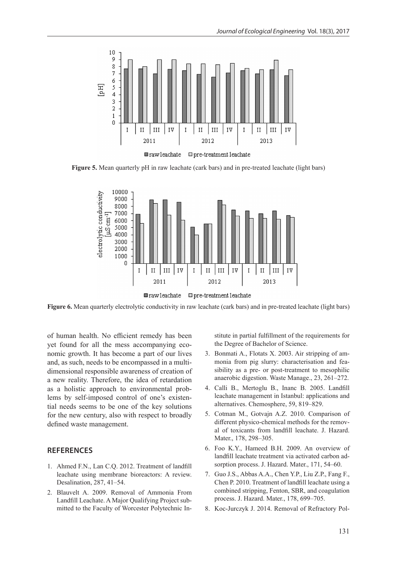

**Figure 5.** Mean quarterly pH in raw leachate (cark bars) and in pre-treated leachate (light bars)



**Figure 6.** Mean quarterly electrolytic conductivity in raw leachate (cark bars) and in pre-treated leachate (light bars)

of human health. No efficient remedy has been yet found for all the mess accompanying economic growth. It has become a part of our lives and, as such, needs to be encompassed in a multidimensional responsible awareness of creation of a new reality. Therefore, the idea of retardation as a holistic approach to environmental problems by self-imposed control of one's existential needs seems to be one of the key solutions for the new century, also with respect to broadly defined waste management.

### **REFERENCES**

- 1. Ahmed F.N., Lan C.Q. 2012. Treatment of landfill leachate using membrane bioreactors: A review. Desalination, 287, 41–54.
- 2. Blauvelt A. 2009. Removal of Ammonia From Landfill Leachate. A Major Qualifying Project submitted to the Faculty of Worcester Polytechnic In-

stitute in partial fulfillment of the requirements for the Degree of Bachelor of Science.

- 3. Bonmati A., Flotats X. 2003. Air stripping of ammonia from pig slurry: characterisation and feasibility as a pre- or post-treatment to mesophilic anaerobic digestion. Waste Manage., 23, 261–272.
- 4. Calli B., Mertoglu B., Inanc B. 2005. Landfill leachate management in Istanbul: applications and alternatives. Chemosphere, 59, 819–829.
- 5. Cotman M., Gotvajn A.Z. 2010. Comparison of different physico-chemical methods for the removal of toxicants from landfill leachate. J. Hazard. Mater., 178, 298–305.
- 6. Foo K.Y., Hameed B.H. 2009. An overview of landfill leachate treatment via activated carbon adsorption process. J. Hazard. Mater., 171, 54–60.
- 7. Guo J.S., Abbas A.A., Chen Y.P., Liu Z.P., Fang F., Chen P. 2010. Treatment of landfill leachate using a combined stripping, Fenton, SBR, and coagulation process. J. Hazard. Mater., 178, 699–705.
- 8. Koc-Jurczyk J. 2014. Removal of Refractory Pol-